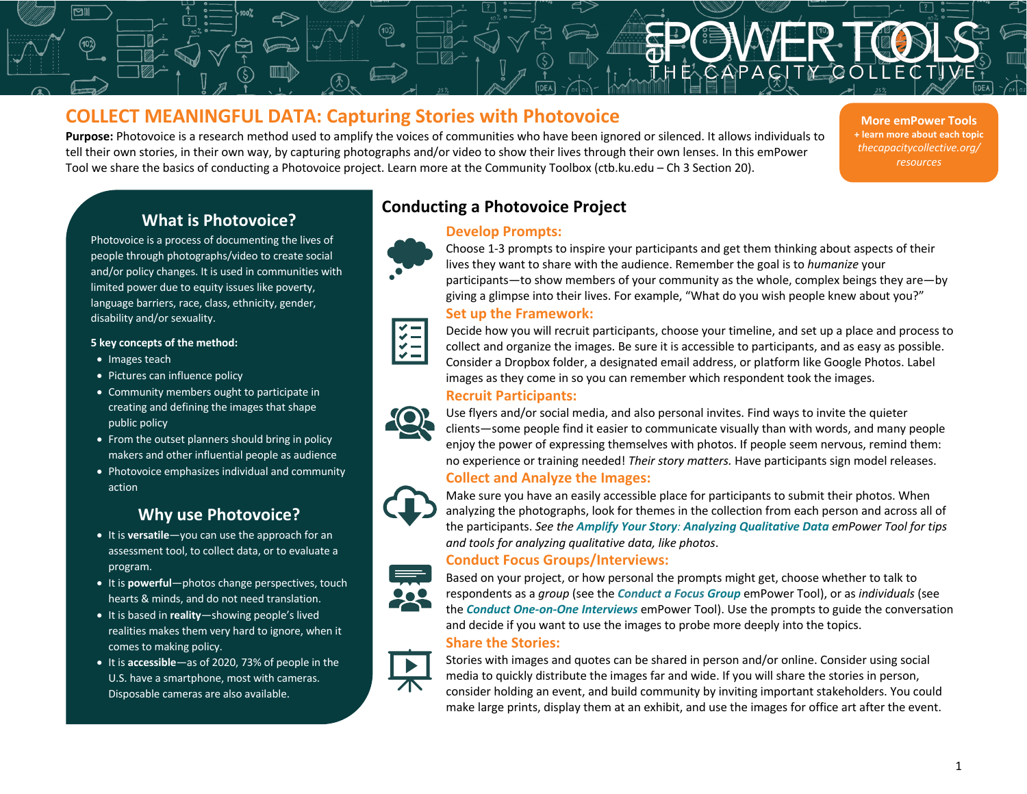# **COLLECT MEANINGFUL DATA: Capturing Stories with Photovoice**

**Purpose:** Photovoice is a research method used to amplify the voices of communities who have been ignored or silenced. It allows individuals to tell their own stories, in their own way, by capturing photographs and/or video to show their lives through their own lenses. In this emPower Tool we share the basics of conducting a Photovoice project. Learn more at the Community Toolbox (ctb.ku.edu – Ch 3 Section 20).

**More emPower Tools + learn more about each topic** *thecapacitycollective.org/ resources*

# **What is Photovoice?**

Photovoice is a process of documenting the lives of people through photographs/video to create social and/or policy changes. It is used in communities with limited power due to equity issues like poverty, language barriers, race, class, ethnicity, gender, disability and/or sexuality.

#### **5 key concepts of the method:**

- Images teach
- Pictures can influence policy
- Community members ought to participate in creating and defining the images that shape public policy
- From the outset planners should bring in policy makers and other influential people as audience
- Photovoice emphasizes individual and community action

# **Why use Photovoice?**

- It is **versatile**—you can use the approach for an assessment tool, to collect data, or to evaluate a program.
- It is **powerful**—photos change perspectives, touch hearts & minds, and do not need translation.
- It is based in **reality**—showing people's lived realities makes them very hard to ignore, when it comes to making policy.
- It is **accessible**—as of 2020, 73% of people in the U.S. have a smartphone, most with cameras. Disposable cameras are also available.



## **Develop Prompts:**



Choose 1-3 prompts to inspire your participants and get them thinking about aspects of their lives they want to share with the audience. Remember the goal is to *humanize* your participants—to show members of your community as the whole, complex beings they are—by giving a glimpse into their lives. For example, "What do you wish people knew about you?" **Set up the Framework:**

**Data** Collection

**Forms**



Decide how you will recruit participants, choose your timeline, and set up a place and process to collect and organize the images. Be sure it is accessible to participants, and as easy as possible. Consider a Dropbox folder, a designated email address, or platform like Google Photos. Label images as they come in so you can remember which respondent took the images.

## **Recruit Participants:**



Use flyers and/or social media, and also personal invites. Find ways to invite the quieter clients—some people find it easier to communicate visually than with words, and many people enjoy the power of expressing themselves with photos. If people seem nervous, remind them: no experience or training needed! *Their story matters.* Have participants sign model releases.

### **Collect and Analyze the Images:**



Make sure you have an easily accessible place for participants to submit their photos. When analyzing the photographs, look for themes in the collection from each person and across all of the participants. *See the Amplify Your Story: Analyzing Qualitative Data emPower Tool for tips and tools for analyzing qualitative data, like photos*.

## **Conduct Focus Groups/Interviews:**



Based on your project, or how personal the prompts might get, choose whether to talk to respondents as a *group* (see the *Conduct a Focus Group* emPower Tool), or as *individuals* (see the *Conduct One-on-One Interviews* emPower Tool). Use the prompts to guide the conversation and decide if you want to use the images to probe more deeply into the topics. **Share the Stories:**

Stories with images and quotes can be shared in person and/or online. Consider using social media to quickly distribute the images far and wide. If you will share the stories in person, consider holding an event, and build community by inviting important stakeholders. You could make large prints, display them at an exhibit, and use the images for office art after the event.